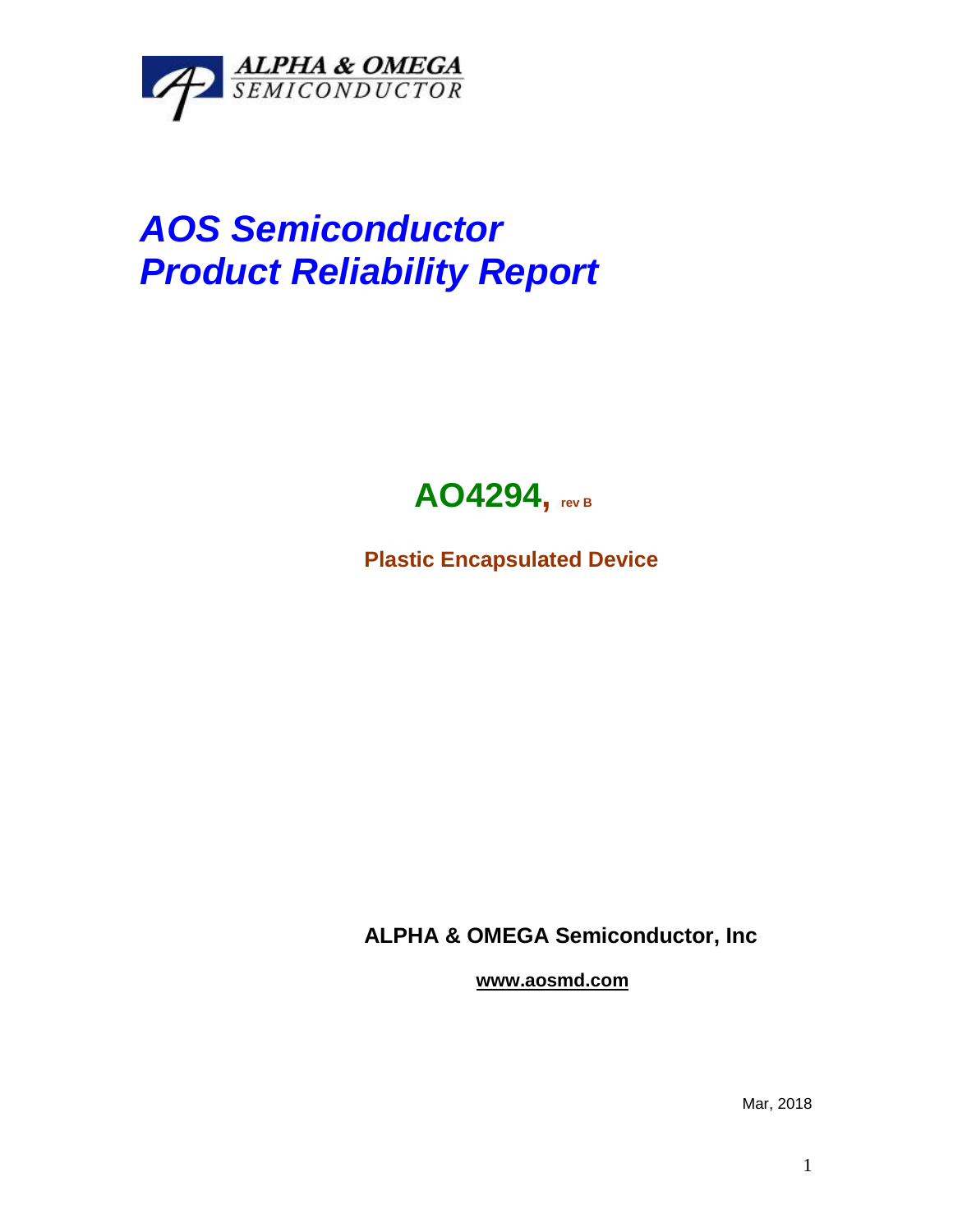

## *AOS Semiconductor Product Reliability Report*



**Plastic Encapsulated Device**

**ALPHA & OMEGA Semiconductor, Inc**

**www.aosmd.com**

Mar, 2018